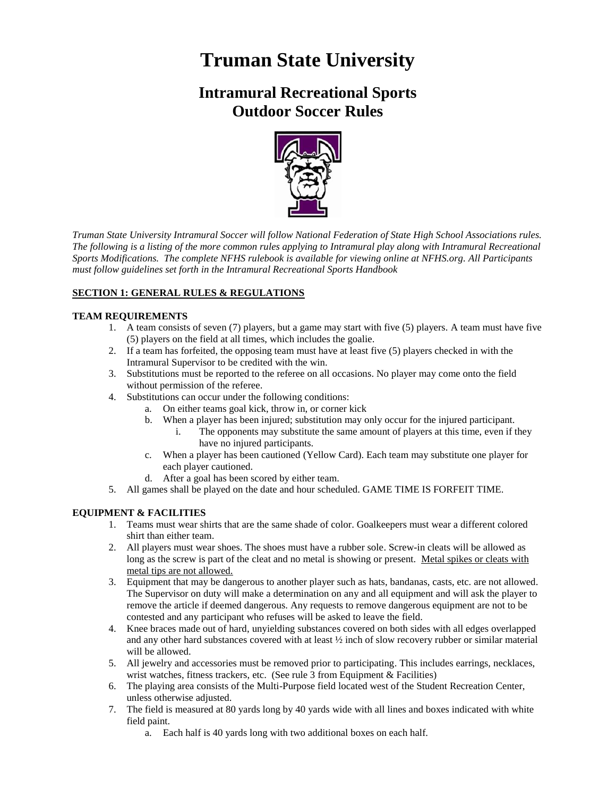# **Truman State University**

# **Intramural Recreational Sports Outdoor Soccer Rules**



*Truman State University Intramural Soccer will follow National Federation of State High School Associations rules. The following is a listing of the more common rules applying to Intramural play along with Intramural Recreational Sports Modifications. The complete NFHS rulebook is available for viewing online at NFHS.org. All Participants must follow guidelines set forth in the Intramural Recreational Sports Handbook*

# **SECTION 1: GENERAL RULES & REGULATIONS**

# **TEAM REQUIREMENTS**

- 1. A team consists of seven (7) players, but a game may start with five (5) players. A team must have five (5) players on the field at all times, which includes the goalie.
- 2. If a team has forfeited, the opposing team must have at least five (5) players checked in with the Intramural Supervisor to be credited with the win.
- 3. Substitutions must be reported to the referee on all occasions. No player may come onto the field without permission of the referee.
- 4. Substitutions can occur under the following conditions:
	- a. On either teams goal kick, throw in, or corner kick
		- b. When a player has been injured; substitution may only occur for the injured participant.
			- i. The opponents may substitute the same amount of players at this time, even if they have no injured participants.
		- c. When a player has been cautioned (Yellow Card). Each team may substitute one player for each player cautioned.
		- d. After a goal has been scored by either team.
- 5. All games shall be played on the date and hour scheduled. GAME TIME IS FORFEIT TIME.

#### **EQUIPMENT & FACILITIES**

- 1. Teams must wear shirts that are the same shade of color. Goalkeepers must wear a different colored shirt than either team.
- 2. All players must wear shoes. The shoes must have a rubber sole. Screw-in cleats will be allowed as long as the screw is part of the cleat and no metal is showing or present. Metal spikes or cleats with metal tips are not allowed.
- 3. Equipment that may be dangerous to another player such as hats, bandanas, casts, etc. are not allowed. The Supervisor on duty will make a determination on any and all equipment and will ask the player to remove the article if deemed dangerous. Any requests to remove dangerous equipment are not to be contested and any participant who refuses will be asked to leave the field.
- 4. Knee braces made out of hard, unyielding substances covered on both sides with all edges overlapped and any other hard substances covered with at least ½ inch of slow recovery rubber or similar material will be allowed.
- 5. All jewelry and accessories must be removed prior to participating. This includes earrings, necklaces, wrist watches, fitness trackers, etc. (See rule 3 from Equipment & Facilities)
- 6. The playing area consists of the Multi-Purpose field located west of the Student Recreation Center, unless otherwise adjusted.
- 7. The field is measured at 80 yards long by 40 yards wide with all lines and boxes indicated with white field paint.
	- a. Each half is 40 yards long with two additional boxes on each half.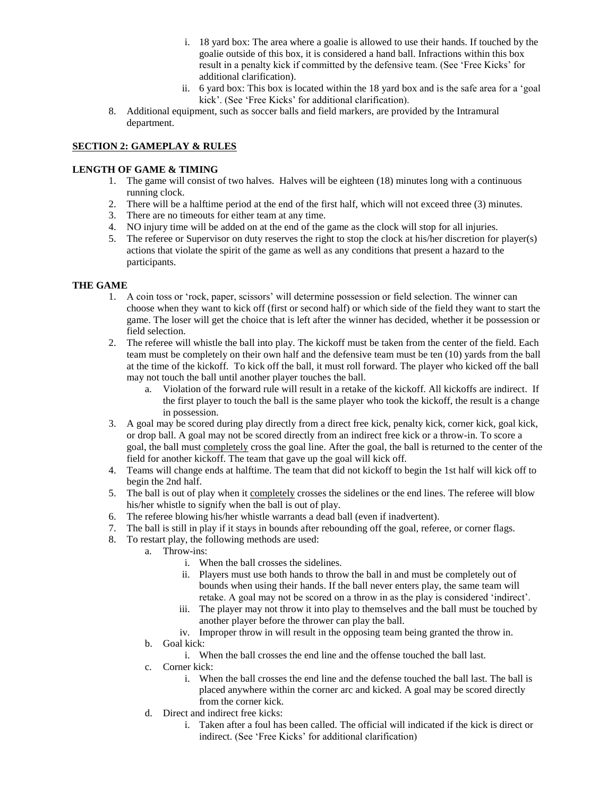- i. 18 yard box: The area where a goalie is allowed to use their hands. If touched by the goalie outside of this box, it is considered a hand ball. Infractions within this box result in a penalty kick if committed by the defensive team. (See 'Free Kicks' for additional clarification).
- ii. 6 yard box: This box is located within the 18 yard box and is the safe area for a 'goal kick'. (See 'Free Kicks' for additional clarification).
- 8. Additional equipment, such as soccer balls and field markers, are provided by the Intramural department.

### **SECTION 2: GAMEPLAY & RULES**

### **LENGTH OF GAME & TIMING**

- 1. The game will consist of two halves. Halves will be eighteen (18) minutes long with a continuous running clock.
- 2. There will be a halftime period at the end of the first half, which will not exceed three (3) minutes.
- 3. There are no timeouts for either team at any time.
- 4. NO injury time will be added on at the end of the game as the clock will stop for all injuries.
- 5. The referee or Supervisor on duty reserves the right to stop the clock at his/her discretion for player(s) actions that violate the spirit of the game as well as any conditions that present a hazard to the participants.

# **THE GAME**

- 1. A coin toss or 'rock, paper, scissors' will determine possession or field selection. The winner can choose when they want to kick off (first or second half) or which side of the field they want to start the game. The loser will get the choice that is left after the winner has decided, whether it be possession or field selection.
- 2. The referee will whistle the ball into play. The kickoff must be taken from the center of the field. Each team must be completely on their own half and the defensive team must be ten (10) yards from the ball at the time of the kickoff. To kick off the ball, it must roll forward. The player who kicked off the ball may not touch the ball until another player touches the ball.
	- a. Violation of the forward rule will result in a retake of the kickoff. All kickoffs are indirect. If the first player to touch the ball is the same player who took the kickoff, the result is a change in possession.
- 3. A goal may be scored during play directly from a direct free kick, penalty kick, corner kick, goal kick, or drop ball. A goal may not be scored directly from an indirect free kick or a throw-in. To score a goal, the ball must completely cross the goal line. After the goal, the ball is returned to the center of the field for another kickoff. The team that gave up the goal will kick off.
- 4. Teams will change ends at halftime. The team that did not kickoff to begin the 1st half will kick off to begin the 2nd half.
- 5. The ball is out of play when it completely crosses the sidelines or the end lines. The referee will blow his/her whistle to signify when the ball is out of play.
- 6. The referee blowing his/her whistle warrants a dead ball (even if inadvertent).
- 7. The ball is still in play if it stays in bounds after rebounding off the goal, referee, or corner flags.
- 8. To restart play, the following methods are used:
	- a. Throw-ins:
		- i. When the ball crosses the sidelines.
		- ii. Players must use both hands to throw the ball in and must be completely out of bounds when using their hands. If the ball never enters play, the same team will retake. A goal may not be scored on a throw in as the play is considered 'indirect'.
		- iii. The player may not throw it into play to themselves and the ball must be touched by another player before the thrower can play the ball.
		- iv. Improper throw in will result in the opposing team being granted the throw in.
	- b. Goal kick:
		- i. When the ball crosses the end line and the offense touched the ball last.
	- c. Corner kick:
		- i. When the ball crosses the end line and the defense touched the ball last. The ball is placed anywhere within the corner arc and kicked. A goal may be scored directly from the corner kick.
	- d. Direct and indirect free kicks:
		- i. Taken after a foul has been called. The official will indicated if the kick is direct or indirect. (See 'Free Kicks' for additional clarification)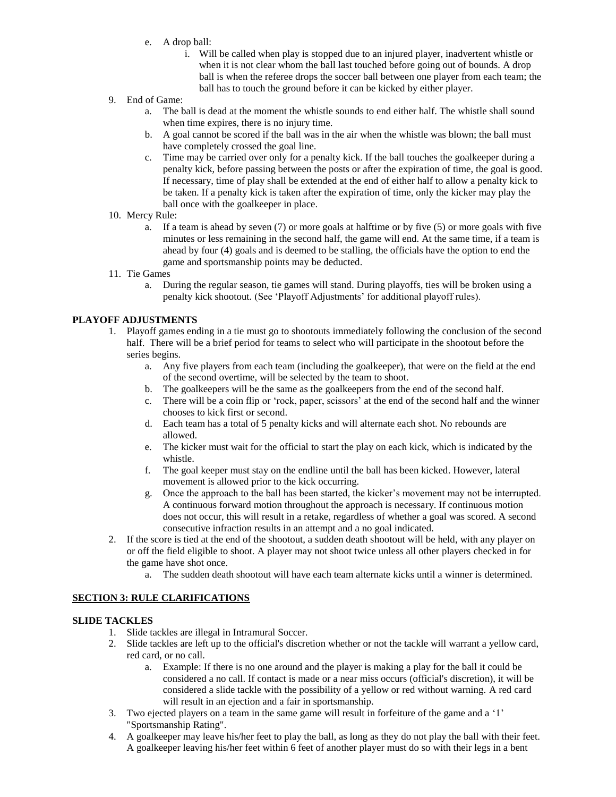- e. A drop ball:
	- i. Will be called when play is stopped due to an injured player, inadvertent whistle or when it is not clear whom the ball last touched before going out of bounds. A drop ball is when the referee drops the soccer ball between one player from each team; the ball has to touch the ground before it can be kicked by either player.
- 9. End of Game:
	- a. The ball is dead at the moment the whistle sounds to end either half. The whistle shall sound when time expires, there is no injury time.
	- b. A goal cannot be scored if the ball was in the air when the whistle was blown; the ball must have completely crossed the goal line.
	- c. Time may be carried over only for a penalty kick. If the ball touches the goalkeeper during a penalty kick, before passing between the posts or after the expiration of time, the goal is good. If necessary, time of play shall be extended at the end of either half to allow a penalty kick to be taken. If a penalty kick is taken after the expiration of time, only the kicker may play the ball once with the goalkeeper in place.
- 10. Mercy Rule:
	- a. If a team is ahead by seven (7) or more goals at halftime or by five (5) or more goals with five minutes or less remaining in the second half, the game will end. At the same time, if a team is ahead by four (4) goals and is deemed to be stalling, the officials have the option to end the game and sportsmanship points may be deducted.
- 11. Tie Games
	- a. During the regular season, tie games will stand. During playoffs, ties will be broken using a penalty kick shootout. (See 'Playoff Adjustments' for additional playoff rules).

#### **PLAYOFF ADJUSTMENTS**

- 1. Playoff games ending in a tie must go to shootouts immediately following the conclusion of the second half. There will be a brief period for teams to select who will participate in the shootout before the series begins.
	- a. Any five players from each team (including the goalkeeper), that were on the field at the end of the second overtime, will be selected by the team to shoot.
	- b. The goalkeepers will be the same as the goalkeepers from the end of the second half.
	- c. There will be a coin flip or 'rock, paper, scissors' at the end of the second half and the winner chooses to kick first or second.
	- d. Each team has a total of 5 penalty kicks and will alternate each shot. No rebounds are allowed.
	- e. The kicker must wait for the official to start the play on each kick, which is indicated by the whistle.
	- f. The goal keeper must stay on the endline until the ball has been kicked. However, lateral movement is allowed prior to the kick occurring.
	- g. Once the approach to the ball has been started, the kicker's movement may not be interrupted. A continuous forward motion throughout the approach is necessary. If continuous motion does not occur, this will result in a retake, regardless of whether a goal was scored. A second consecutive infraction results in an attempt and a no goal indicated.
- 2. If the score is tied at the end of the shootout, a sudden death shootout will be held, with any player on or off the field eligible to shoot. A player may not shoot twice unless all other players checked in for the game have shot once.
	- a. The sudden death shootout will have each team alternate kicks until a winner is determined.

#### **SECTION 3: RULE CLARIFICATIONS**

### **SLIDE TACKLES**

- 1. Slide tackles are illegal in Intramural Soccer.
- 2. Slide tackles are left up to the official's discretion whether or not the tackle will warrant a yellow card, red card, or no call.
	- a. Example: If there is no one around and the player is making a play for the ball it could be considered a no call. If contact is made or a near miss occurs (official's discretion), it will be considered a slide tackle with the possibility of a yellow or red without warning. A red card will result in an ejection and a fair in sportsmanship.
- 3. Two ejected players on a team in the same game will result in forfeiture of the game and a '1' "Sportsmanship Rating".
- 4. A goalkeeper may leave his/her feet to play the ball, as long as they do not play the ball with their feet. A goalkeeper leaving his/her feet within 6 feet of another player must do so with their legs in a bent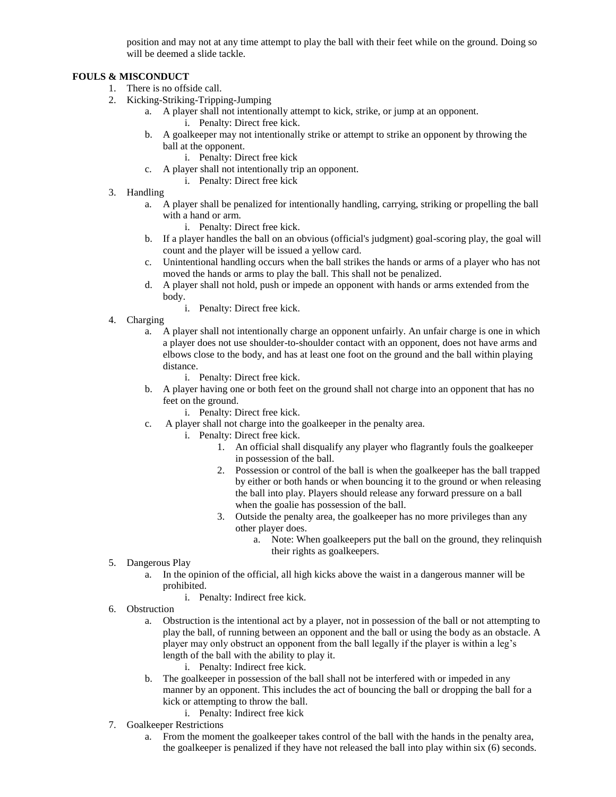position and may not at any time attempt to play the ball with their feet while on the ground. Doing so will be deemed a slide tackle.

# **FOULS & MISCONDUCT**

- 1. There is no offside call.
- 2. Kicking-Striking-Tripping-Jumping
	- a. A player shall not intentionally attempt to kick, strike, or jump at an opponent.
		- i. Penalty: Direct free kick.
	- b. A goalkeeper may not intentionally strike or attempt to strike an opponent by throwing the ball at the opponent.
		- i. Penalty: Direct free kick
	- c. A player shall not intentionally trip an opponent.
		- i. Penalty: Direct free kick
- 3. Handling
	- a. A player shall be penalized for intentionally handling, carrying, striking or propelling the ball with a hand or arm.
		- i. Penalty: Direct free kick.
	- b. If a player handles the ball on an obvious (official's judgment) goal-scoring play, the goal will count and the player will be issued a yellow card.
	- c. Unintentional handling occurs when the ball strikes the hands or arms of a player who has not moved the hands or arms to play the ball. This shall not be penalized.
	- d. A player shall not hold, push or impede an opponent with hands or arms extended from the body.
		- i. Penalty: Direct free kick.
- 4. Charging
	- a. A player shall not intentionally charge an opponent unfairly. An unfair charge is one in which a player does not use shoulder-to-shoulder contact with an opponent, does not have arms and elbows close to the body, and has at least one foot on the ground and the ball within playing distance.
		- i. Penalty: Direct free kick.
	- b. A player having one or both feet on the ground shall not charge into an opponent that has no feet on the ground.
		- i. Penalty: Direct free kick.
	- c. A player shall not charge into the goalkeeper in the penalty area.
		- i. Penalty: Direct free kick.
			- 1. An official shall disqualify any player who flagrantly fouls the goalkeeper in possession of the ball.
			- 2. Possession or control of the ball is when the goalkeeper has the ball trapped by either or both hands or when bouncing it to the ground or when releasing the ball into play. Players should release any forward pressure on a ball when the goalie has possession of the ball.
			- 3. Outside the penalty area, the goalkeeper has no more privileges than any other player does.
				- a. Note: When goalkeepers put the ball on the ground, they relinquish their rights as goalkeepers.
- 5. Dangerous Play
	- a. In the opinion of the official, all high kicks above the waist in a dangerous manner will be prohibited.
		- i. Penalty: Indirect free kick.
- 6. Obstruction
	- a. Obstruction is the intentional act by a player, not in possession of the ball or not attempting to play the ball, of running between an opponent and the ball or using the body as an obstacle. A player may only obstruct an opponent from the ball legally if the player is within a leg's length of the ball with the ability to play it.
		- i. Penalty: Indirect free kick.
	- b. The goalkeeper in possession of the ball shall not be interfered with or impeded in any manner by an opponent. This includes the act of bouncing the ball or dropping the ball for a kick or attempting to throw the ball.
		- i. Penalty: Indirect free kick
- 7. Goalkeeper Restrictions
	- a. From the moment the goalkeeper takes control of the ball with the hands in the penalty area, the goalkeeper is penalized if they have not released the ball into play within six (6) seconds.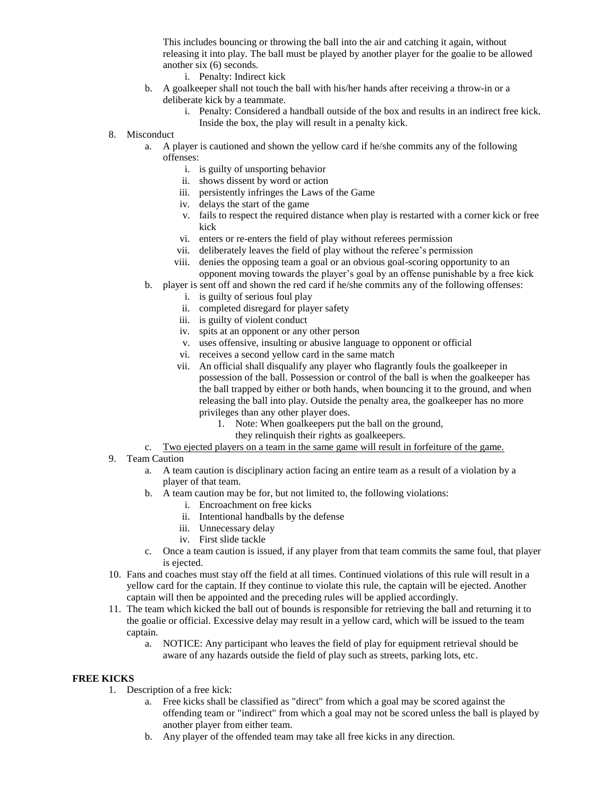This includes bouncing or throwing the ball into the air and catching it again, without releasing it into play. The ball must be played by another player for the goalie to be allowed another six (6) seconds.

- i. Penalty: Indirect kick
- b. A goalkeeper shall not touch the ball with his/her hands after receiving a throw-in or a deliberate kick by a teammate.
	- i. Penalty: Considered a handball outside of the box and results in an indirect free kick. Inside the box, the play will result in a penalty kick.
- 8. Misconduct
	- a. A player is cautioned and shown the yellow card if he/she commits any of the following offenses:
		- i. is guilty of unsporting behavior
		- ii. shows dissent by word or action
		- iii. persistently infringes the Laws of the Game
		- iv. delays the start of the game
		- v. fails to respect the required distance when play is restarted with a corner kick or free kick
		- vi. enters or re-enters the field of play without referees permission
		- vii. deliberately leaves the field of play without the referee's permission
		- viii. denies the opposing team a goal or an obvious goal-scoring opportunity to an opponent moving towards the player's goal by an offense punishable by a free kick
	- b. player is sent off and shown the red card if he/she commits any of the following offenses:
		- i. is guilty of serious foul play
		- ii. completed disregard for player safety
		- iii. is guilty of violent conduct
		- iv. spits at an opponent or any other person
		- v. uses offensive, insulting or abusive language to opponent or official
		- vi. receives a second yellow card in the same match
		- vii. An official shall disqualify any player who flagrantly fouls the goalkeeper in possession of the ball. Possession or control of the ball is when the goalkeeper has the ball trapped by either or both hands, when bouncing it to the ground, and when releasing the ball into play. Outside the penalty area, the goalkeeper has no more privileges than any other player does.
			- 1. Note: When goalkeepers put the ball on the ground,
				- they relinquish their rights as goalkeepers.
- c. Two ejected players on a team in the same game will result in forfeiture of the game.
- 9. Team Caution
	- a. A team caution is disciplinary action facing an entire team as a result of a violation by a player of that team.
	- b. A team caution may be for, but not limited to, the following violations:
		- i. Encroachment on free kicks
		- ii. Intentional handballs by the defense
		- iii. Unnecessary delay
		- iv. First slide tackle
	- c. Once a team caution is issued, if any player from that team commits the same foul, that player is ejected.
- 10. Fans and coaches must stay off the field at all times. Continued violations of this rule will result in a yellow card for the captain. If they continue to violate this rule, the captain will be ejected. Another captain will then be appointed and the preceding rules will be applied accordingly.
- 11. The team which kicked the ball out of bounds is responsible for retrieving the ball and returning it to the goalie or official. Excessive delay may result in a yellow card, which will be issued to the team captain.
	- a. NOTICE: Any participant who leaves the field of play for equipment retrieval should be aware of any hazards outside the field of play such as streets, parking lots, etc.

#### **FREE KICKS**

- 1. Description of a free kick:
	- a. Free kicks shall be classified as "direct" from which a goal may be scored against the offending team or "indirect" from which a goal may not be scored unless the ball is played by another player from either team.
	- b. Any player of the offended team may take all free kicks in any direction.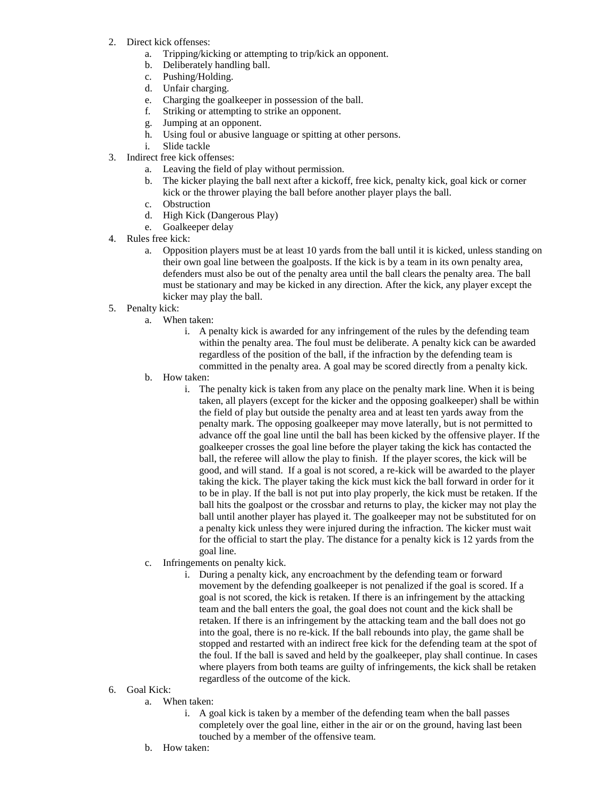- 2. Direct kick offenses:
	- a. Tripping/kicking or attempting to trip/kick an opponent.
	- b. Deliberately handling ball.
	- c. Pushing/Holding.
	- d. Unfair charging.
	- e. Charging the goalkeeper in possession of the ball.
	- f. Striking or attempting to strike an opponent.
	- g. Jumping at an opponent.
	- h. Using foul or abusive language or spitting at other persons.
	- i. Slide tackle
- 3. Indirect free kick offenses:
	- a. Leaving the field of play without permission.
	- b. The kicker playing the ball next after a kickoff, free kick, penalty kick, goal kick or corner kick or the thrower playing the ball before another player plays the ball.
	- c. Obstruction
	- d. High Kick (Dangerous Play)
	- e. Goalkeeper delay
- 4. Rules free kick:
	- a. Opposition players must be at least 10 yards from the ball until it is kicked, unless standing on their own goal line between the goalposts. If the kick is by a team in its own penalty area, defenders must also be out of the penalty area until the ball clears the penalty area. The ball must be stationary and may be kicked in any direction. After the kick, any player except the kicker may play the ball.
- 5. Penalty kick:
	- a. When taken:
		- i. A penalty kick is awarded for any infringement of the rules by the defending team within the penalty area. The foul must be deliberate. A penalty kick can be awarded regardless of the position of the ball, if the infraction by the defending team is committed in the penalty area. A goal may be scored directly from a penalty kick.
	- b. How taken:
		- i. The penalty kick is taken from any place on the penalty mark line. When it is being taken, all players (except for the kicker and the opposing goalkeeper) shall be within the field of play but outside the penalty area and at least ten yards away from the penalty mark. The opposing goalkeeper may move laterally, but is not permitted to advance off the goal line until the ball has been kicked by the offensive player. If the goalkeeper crosses the goal line before the player taking the kick has contacted the ball, the referee will allow the play to finish. If the player scores, the kick will be good, and will stand. If a goal is not scored, a re-kick will be awarded to the player taking the kick. The player taking the kick must kick the ball forward in order for it to be in play. If the ball is not put into play properly, the kick must be retaken. If the ball hits the goalpost or the crossbar and returns to play, the kicker may not play the ball until another player has played it. The goalkeeper may not be substituted for on a penalty kick unless they were injured during the infraction. The kicker must wait for the official to start the play. The distance for a penalty kick is 12 yards from the goal line.
	- c. Infringements on penalty kick.
		- i. During a penalty kick, any encroachment by the defending team or forward movement by the defending goalkeeper is not penalized if the goal is scored. If a goal is not scored, the kick is retaken. If there is an infringement by the attacking team and the ball enters the goal, the goal does not count and the kick shall be retaken. If there is an infringement by the attacking team and the ball does not go into the goal, there is no re-kick. If the ball rebounds into play, the game shall be stopped and restarted with an indirect free kick for the defending team at the spot of the foul. If the ball is saved and held by the goalkeeper, play shall continue. In cases where players from both teams are guilty of infringements, the kick shall be retaken regardless of the outcome of the kick.
- 6. Goal Kick:
	- a. When taken:
		- i. A goal kick is taken by a member of the defending team when the ball passes completely over the goal line, either in the air or on the ground, having last been touched by a member of the offensive team.
	- b. How taken: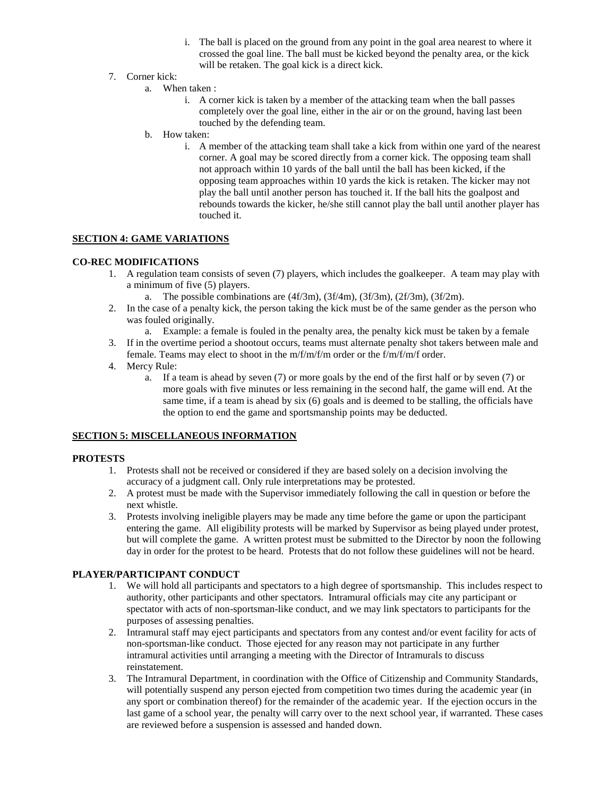- i. The ball is placed on the ground from any point in the goal area nearest to where it crossed the goal line. The ball must be kicked beyond the penalty area, or the kick will be retaken. The goal kick is a direct kick.
- 7. Corner kick:
	- a. When taken :
		- i. A corner kick is taken by a member of the attacking team when the ball passes completely over the goal line, either in the air or on the ground, having last been touched by the defending team.
	- b. How taken:
		- i. A member of the attacking team shall take a kick from within one yard of the nearest corner. A goal may be scored directly from a corner kick. The opposing team shall not approach within 10 yards of the ball until the ball has been kicked, if the opposing team approaches within 10 yards the kick is retaken. The kicker may not play the ball until another person has touched it. If the ball hits the goalpost and rebounds towards the kicker, he/she still cannot play the ball until another player has touched it.

#### **SECTION 4: GAME VARIATIONS**

#### **CO-REC MODIFICATIONS**

- 1. A regulation team consists of seven (7) players, which includes the goalkeeper. A team may play with a minimum of five (5) players.
	- a. The possible combinations are  $(4f/3m)$ ,  $(3f/4m)$ ,  $(3f/3m)$ ,  $(2f/3m)$ ,  $(3f/2m)$ .
- 2. In the case of a penalty kick, the person taking the kick must be of the same gender as the person who was fouled originally.
	- a. Example: a female is fouled in the penalty area, the penalty kick must be taken by a female
- 3. If in the overtime period a shootout occurs, teams must alternate penalty shot takers between male and female. Teams may elect to shoot in the m/f/m/f/m order or the f/m/f/m/f order.
- 4. Mercy Rule:
	- a. If a team is ahead by seven (7) or more goals by the end of the first half or by seven (7) or more goals with five minutes or less remaining in the second half, the game will end. At the same time, if a team is ahead by six (6) goals and is deemed to be stalling, the officials have the option to end the game and sportsmanship points may be deducted.

#### **SECTION 5: MISCELLANEOUS INFORMATION**

#### **PROTESTS**

- 1. Protests shall not be received or considered if they are based solely on a decision involving the accuracy of a judgment call. Only rule interpretations may be protested.
- 2. A protest must be made with the Supervisor immediately following the call in question or before the next whistle.
- 3. Protests involving ineligible players may be made any time before the game or upon the participant entering the game. All eligibility protests will be marked by Supervisor as being played under protest, but will complete the game. A written protest must be submitted to the Director by noon the following day in order for the protest to be heard. Protests that do not follow these guidelines will not be heard.

### **PLAYER/PARTICIPANT CONDUCT**

- 1. We will hold all participants and spectators to a high degree of sportsmanship. This includes respect to authority, other participants and other spectators. Intramural officials may cite any participant or spectator with acts of non-sportsman-like conduct, and we may link spectators to participants for the purposes of assessing penalties.
- 2. Intramural staff may eject participants and spectators from any contest and/or event facility for acts of non-sportsman-like conduct. Those ejected for any reason may not participate in any further intramural activities until arranging a meeting with the Director of Intramurals to discuss reinstatement.
- 3. The Intramural Department, in coordination with the Office of Citizenship and Community Standards, will potentially suspend any person ejected from competition two times during the academic year (in any sport or combination thereof) for the remainder of the academic year. If the ejection occurs in the last game of a school year, the penalty will carry over to the next school year, if warranted. These cases are reviewed before a suspension is assessed and handed down.